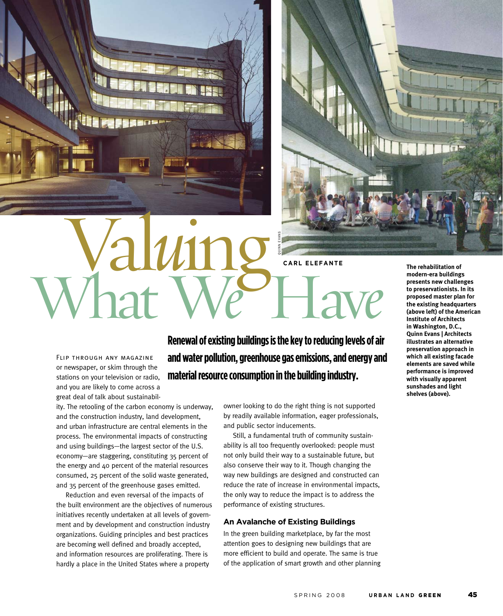



**CARL ELEFANTE** 

Flip through any magazine or newspaper, or skim through the stations on your television or radio, and you are likely to come across a great deal of talk about sustainabil-

ity. The retooling of the carbon economy is underway, and the construction industry, land development, and urban infrastructure are central elements in the process. The environmental impacts of constructing and using buildings—the largest sector of the U.S. economy—are staggering, constituting 35 percent of the energy and 40 percent of the material resources consumed, 25 percent of the solid waste generated, and 35 percent of the greenhouse gases emitted.

Reduction and even reversal of the impacts of the built environment are the objectives of numerous initiatives recently undertaken at all levels of government and by development and construction industry organizations. Guiding principles and best practices are becoming well defined and broadly accepted, and information resources are proliferating. There is hardly a place in the United States where a property

**Renewal of existing buildings is the key to reducing levels of air and water pollution, greenhouse gas emissions, and energy and material resource consumption in the building industry.**

> owner looking to do the right thing is not supported by readily available information, eager professionals, and public sector inducements.

> Still, a fundamental truth of community sustainability is all too frequently overlooked: people must not only build their way to a sustainable future, but also conserve their way to it. Though changing the way new buildings are designed and constructed can reduce the rate of increase in environmental impacts, the only way to reduce the impact is to address the performance of existing structures.

## **An Avalanche of Existing Buildings**

In the green building marketplace, by far the most attention goes to designing new buildings that are more efficient to build and operate. The same is true of the application of smart growth and other planning **The rehabilitation of modern-era buildings presents new challenges to preservationists. In its proposed master plan for the existing headquarters (above left) of the American Institute of Architects in Washington, D.C., Quinn Evans | Architects illustrates an alternative preservation approach in which all existing facade elements are saved while performance is improved with visually apparent sunshades and light shelves (above).**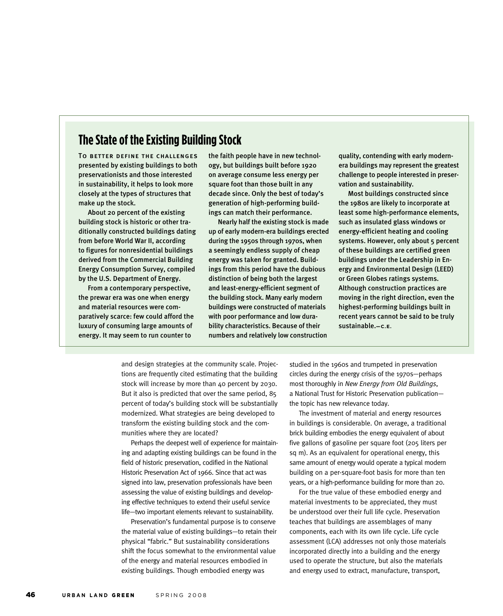## **The State of the Existing Building Stock**

To better define the challenges presented by existing buildings to both preservationists and those interested in sustainability, it helps to look more closely at the types of structures that make up the stock.

About 20 percent of the existing building stock is historic or other traditionally constructed buildings dating from before World War II, according to figures for nonresidential buildings derived from the Commercial Building Energy Consumption Survey, compiled by the U.S. Department of Energy.

From a contemporary perspective, the prewar era was one when energy and material resources were comparatively scarce: few could afford the luxury of consuming large amounts of energy. It may seem to run counter to

the faith people have in new technology, but buildings built before 1920 on average consume less energy per square foot than those built in any decade since. Only the best of today's generation of high-performing buildings can match their performance.

Nearly half the existing stock is made up of early modern-era buildings erected during the 1950s through 1970s, when a seemingly endless supply of cheap energy was taken for granted. Buildings from this period have the dubious distinction of being both the largest and least-energy-efficient segment of the building stock. Many early modern buildings were constructed of materials with poor performance and low durability characteristics. Because of their numbers and relatively low construction

quality, contending with early modernera buildings may represent the greatest challenge to people interested in preservation and sustainability.

Most buildings constructed since the 1980s are likely to incorporate at least some high-performance elements, such as insulated glass windows or energy-efficient heating and cooling systems. However, only about 5 percent of these buildings are certified green buildings under the Leadership in Energy and Environmental Design (LEED) or Green Globes ratings systems. Although construction practices are moving in the right direction, even the highest-performing buildings built in recent years cannot be said to be truly sustainable.**—C.E.**

and design strategies at the community scale. Projections are frequently cited estimating that the building stock will increase by more than 40 percent by 2030. But it also is predicted that over the same period, 85 percent of today's building stock will be substantially modernized. What strategies are being developed to transform the existing building stock and the communities where they are located?

Perhaps the deepest well of experience for maintaining and adapting existing buildings can be found in the field of historic preservation, codified in the National Historic Preservation Act of 1966. Since that act was signed into law, preservation professionals have been assessing the value of existing buildings and developing effective techniques to extend their useful service life—two important elements relevant to sustainability.

Preservation's fundamental purpose is to conserve the material value of existing buildings—to retain their physical "fabric." But sustainability considerations shift the focus somewhat to the environmental value of the energy and material resources embodied in existing buildings. Though embodied energy was

studied in the 1960s and trumpeted in preservation circles during the energy crisis of the 1970s—perhaps most thoroughly in *New Energy from Old Buildings*, a National Trust for Historic Preservation publication the topic has new relevance today.

The investment of material and energy resources in buildings is considerable. On average, a traditional brick building embodies the energy equivalent of about five gallons of gasoline per square foot (205 liters per sq m). As an equivalent for operational energy, this same amount of energy would operate a typical modern building on a per-square-foot basis for more than ten years, or a high-performance building for more than 20.

For the true value of these embodied energy and material investments to be appreciated, they must be understood over their full life cycle. Preservation teaches that buildings are assemblages of many components, each with its own life cycle. Life cycle assessment (LCA) addresses not only those materials incorporated directly into a building and the energy used to operate the structure, but also the materials and energy used to extract, manufacture, transport,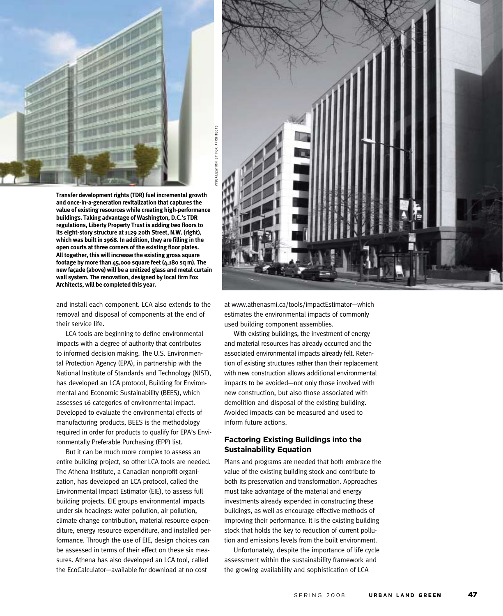

ISUALIZATION BY FOX ARCHITECTS VISUALIZATION BY FOX ARCHITECTS  $\Rightarrow$ 

**Transfer development rights (TDR) fuel incremental growth and once-in-a-generation revitalization that captures the value of existing resources while creating high-performance buildings. Taking advantage of Washington, D.C.'s TDR regulations, Liberty Property Trust is adding two floors to its eight-story structure at 1129 20th Street, N.W. (right), which was built in 1968. In addition, they are filling in the open courts at three corners of the existing floor plates. All together, this will increase the existing gross square footage by more than 45,000 square feet (4,180 sq m). The new façade (above) will be a unitized glass and metal curtain wall system. The renovation, designed by local firm Fox Architects, will be completed this year.** 

and install each component. LCA also extends to the removal and disposal of components at the end of their service life.

LCA tools are beginning to define environmental impacts with a degree of authority that contributes to informed decision making. The U.S. Environmental Protection Agency (EPA), in partnership with the National Institute of Standards and Technology (NIST), has developed an LCA protocol, Building for Environmental and Economic Sustainability (BEES), which assesses 16 categories of environmental impact. Developed to evaluate the environmental effects of manufacturing products, BEES is the methodology required in order for products to qualify for EPA's Environmentally Preferable Purchasing (EPP) list.

But it can be much more complex to assess an entire building project, so other LCA tools are needed. The Athena Institute, a Canadian nonprofit organization, has developed an LCA protocol, called the Environmental Impact Estimator (EIE), to assess full building projects. EIE groups environmental impacts under six headings: water pollution, air pollution, climate change contribution, material resource expenditure, energy resource expenditure, and installed performance. Through the use of EIE, design choices can be assessed in terms of their effect on these six measures. Athena has also developed an LCA tool, called the EcoCalculator—available for download at no cost



at www.athenasmi.ca/tools/impactEstimator—which estimates the environmental impacts of commonly used building component assemblies.

With existing buildings, the investment of energy and material resources has already occurred and the associated environmental impacts already felt. Retention of existing structures rather than their replacement with new construction allows additional environmental impacts to be avoided—not only those involved with new construction, but also those associated with demolition and disposal of the existing building. Avoided impacts can be measured and used to inform future actions.

## **Factoring Existing Buildings into the Sustainability Equation**

Plans and programs are needed that both embrace the value of the existing building stock and contribute to both its preservation and transformation. Approaches must take advantage of the material and energy investments already expended in constructing these buildings, as well as encourage effective methods of improving their performance. It is the existing building stock that holds the key to reduction of current pollution and emissions levels from the built environment.

Unfortunately, despite the importance of life cycle assessment within the sustainability framework and the growing availability and sophistication of LCA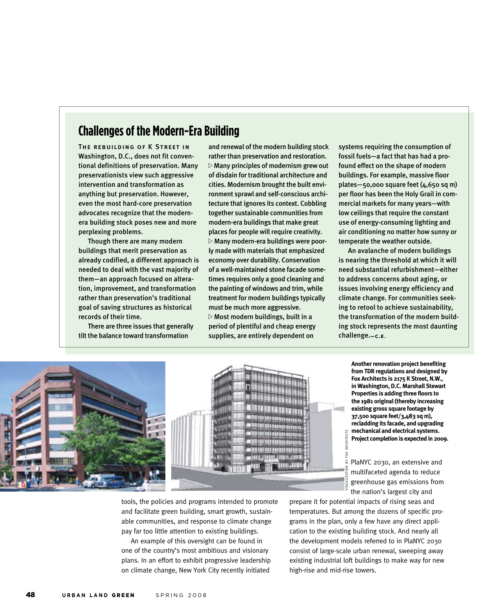## **Challenges of the Modern-Era Building**

The rebuilding of K Street in Washington, D.C., does not fit conventional definitions of preservation. Many preservationists view such aggressive intervention and transformation as anything but preservation. However, even the most hard-core preservation advocates recognize that the modernera building stock poses new and more perplexing problems.

Though there are many modern buildings that merit preservation as already codified, a different approach is needed to deal with the vast majority of them—an approach focused on alteration, improvement, and transformation rather than preservation's traditional goal of saving structures as historical records of their time.

There are three issues that generally tilt the balance toward transformation

and renewal of the modern building stock rather than preservation and restoration.  $\triangleright$  Many principles of modernism grew out of disdain for traditional architecture and cities. Modernism brought the built environment sprawl and self-conscious architecture that ignores its context. Cobbling together sustainable communities from modern-era buildings that make great places for people will require creativity.  $\triangleright$  Many modern-era buildings were poorly made with materials that emphasized economy over durability. Conservation of a well-maintained stone facade sometimes requires only a good cleaning and the painting of windows and trim, while treatment for modern buildings typically must be much more aggressive.  $\triangleright$  Most modern buildings, built in a period of plentiful and cheap energy supplies, are entirely dependent on

systems requiring the consumption of fossil fuels—a fact that has had a profound effect on the shape of modern buildings. For example, massive floor plates—50,000 square feet (4,650 sq m) per floor has been the Holy Grail in commercial markets for many years—with low ceilings that require the constant use of energy-consuming lighting and air conditioning no matter how sunny or temperate the weather outside.

An avalanche of modern buildings is nearing the threshold at which it will need substantial refurbishment—either to address concerns about aging, or issues involving energy efficiency and climate change. For communities seeking to retool to achieve sustainability, the transformation of the modern building stock represents the most daunting challenge.**—C.E.**



**Another renovation project benefiting from TDR regulations and designed by Fox Architects is 2175 K Street, N.W., in Washington, D.C. Marshall Stewart Properties is adding three floors to the 1981 original (thereby increasing existing gross square footage by 37,500 square feet/3,483 sq m), recladding its facade, and upgrading mechanical and electrical systems. Project completion is expected in 2009.** 

PlaNYC 2030, an extensive and multifaceted agenda to reduce greenhouse gas emissions from the nation's largest city and

tools, the policies and programs intended to promote and facilitate green building, smart growth, sustainable communities, and response to climate change pay far too little attention to existing buildings.

An example of this oversight can be found in one of the country's most ambitious and visionary plans. In an effort to exhibit progressive leadership on climate change, New York City recently initiated

prepare it for potential impacts of rising seas and temperatures. But among the dozens of specific programs in the plan, only a few have any direct application to the existing building stock. And nearly all the development models referred to in PlaNYC 2030 consist of large-scale urban renewal, sweeping away existing industrial loft buildings to make way for new high-rise and mid-rise towers.